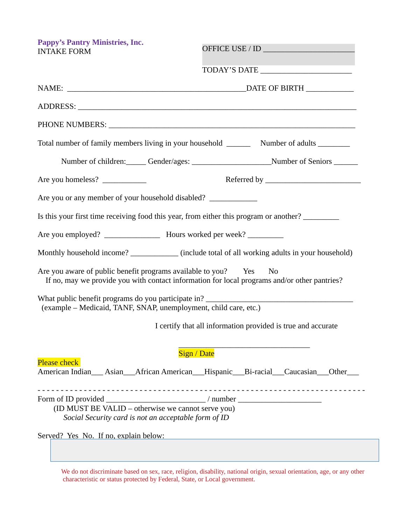**Pappy's Pantry Ministries, Inc.** INTAKE FORM

OFFICE USE / ID \_\_\_\_\_\_\_\_\_\_\_\_\_\_\_\_\_\_\_\_\_\_\_

TODAY'S DATE

| Total number of family members living in your household __________ Number of adults _________                                                                                                  |                                                   |  |
|------------------------------------------------------------------------------------------------------------------------------------------------------------------------------------------------|---------------------------------------------------|--|
|                                                                                                                                                                                                |                                                   |  |
| Are you homeless?                                                                                                                                                                              |                                                   |  |
| Are you or any member of your household disabled? _______________________________                                                                                                              |                                                   |  |
| Is this your first time receiving food this year, from either this program or another?                                                                                                         |                                                   |  |
|                                                                                                                                                                                                |                                                   |  |
| Monthly household income? _____________ (include total of all working adults in your household)                                                                                                |                                                   |  |
| Are you aware of public benefit programs available to you? Yes<br>If no, may we provide you with contact information for local programs and/or other pantries?                                 | N <sub>0</sub>                                    |  |
| What public benefit programs do you participate in?<br>(example - Medicaid, TANF, SNAP, unemployment, child care, etc.)                                                                        |                                                   |  |
| I certify that all information provided is true and accurate                                                                                                                                   |                                                   |  |
| <b>Sign / Date</b><br><b>Please check</b><br>American Indian___ Asian___African American___Hispanic___Bi-racial___Caucasian___Other___                                                         | <u> 1989 - Johann Barbara, martxa alemaniar a</u> |  |
| Form of ID provided ______________________________/ number _____________________<br>(ID MUST BE VALID – otherwise we cannot serve you)<br>Social Security card is not an acceptable form of ID |                                                   |  |
| Served? Yes No. If no, explain below:                                                                                                                                                          |                                                   |  |

We do not discriminate based on sex, race, religion, disability, national origin, sexual orientation, age, or any other characteristic or status protected by Federal, State, or Local government.